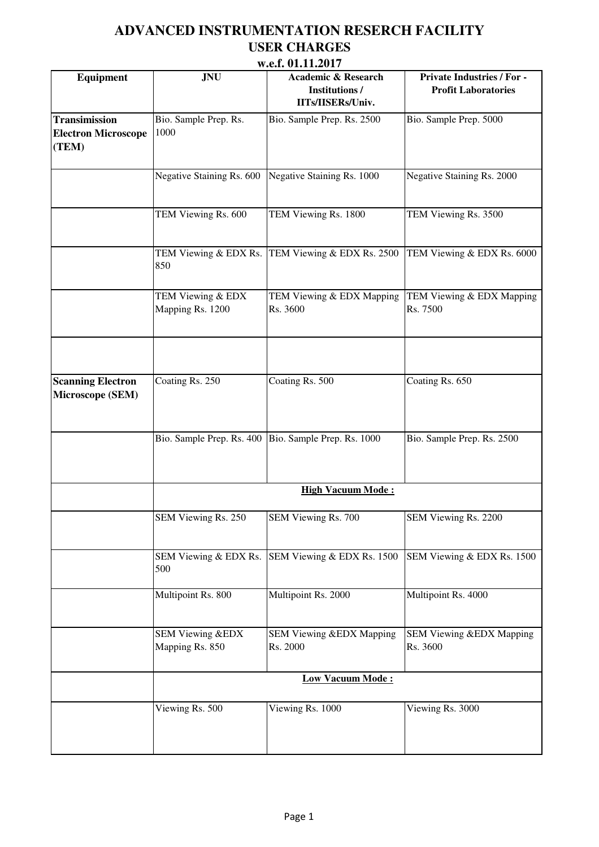|                                                             |                                                | W.C.L. VI.LL.4VII                                                            |                                                                 |  |
|-------------------------------------------------------------|------------------------------------------------|------------------------------------------------------------------------------|-----------------------------------------------------------------|--|
| <b>Equipment</b>                                            | <b>JNU</b>                                     | <b>Academic &amp; Research</b><br><b>Institutions /</b><br>IITs/IISERs/Univ. | <b>Private Industries / For -</b><br><b>Profit Laboratories</b> |  |
| <b>Transimission</b><br><b>Electron Microscope</b><br>(TEM) | Bio. Sample Prep. Rs.<br>1000                  | Bio. Sample Prep. Rs. 2500                                                   | Bio. Sample Prep. 5000                                          |  |
|                                                             | Negative Staining Rs. 600                      | Negative Staining Rs. 1000                                                   | Negative Staining Rs. 2000                                      |  |
|                                                             | TEM Viewing Rs. 600                            | TEM Viewing Rs. 1800                                                         | TEM Viewing Rs. 3500                                            |  |
|                                                             | TEM Viewing & EDX Rs.<br>850                   | TEM Viewing & EDX Rs. 2500                                                   | TEM Viewing & EDX Rs. 6000                                      |  |
|                                                             | TEM Viewing & EDX<br>Mapping Rs. 1200          | TEM Viewing & EDX Mapping<br>Rs. 3600                                        | TEM Viewing & EDX Mapping<br>Rs. 7500                           |  |
|                                                             |                                                |                                                                              |                                                                 |  |
| <b>Scanning Electron</b><br>Microscope (SEM)                | Coating Rs. 250                                | Coating Rs. 500                                                              | Coating Rs. 650                                                 |  |
|                                                             |                                                | Bio. Sample Prep. Rs. 400 Bio. Sample Prep. Rs. 1000                         | Bio. Sample Prep. Rs. 2500                                      |  |
|                                                             | <b>High Vacuum Mode:</b>                       |                                                                              |                                                                 |  |
|                                                             | SEM Viewing Rs. 250                            | SEM Viewing Rs. 700                                                          | SEM Viewing Rs. 2200                                            |  |
|                                                             | SEM Viewing & EDX Rs.<br>500                   | SEM Viewing & EDX Rs. 1500                                                   | SEM Viewing & EDX Rs. 1500                                      |  |
|                                                             | Multipoint Rs. 800                             | Multipoint Rs. 2000                                                          | Multipoint Rs. 4000                                             |  |
|                                                             | <b>SEM Viewing &amp;EDX</b><br>Mapping Rs. 850 | SEM Viewing &EDX Mapping<br>Rs. 2000                                         | SEM Viewing &EDX Mapping<br>Rs. 3600                            |  |
|                                                             | <b>Low Vacuum Mode:</b>                        |                                                                              |                                                                 |  |
|                                                             | Viewing Rs. 500                                | Viewing Rs. 1000                                                             | Viewing Rs. 3000                                                |  |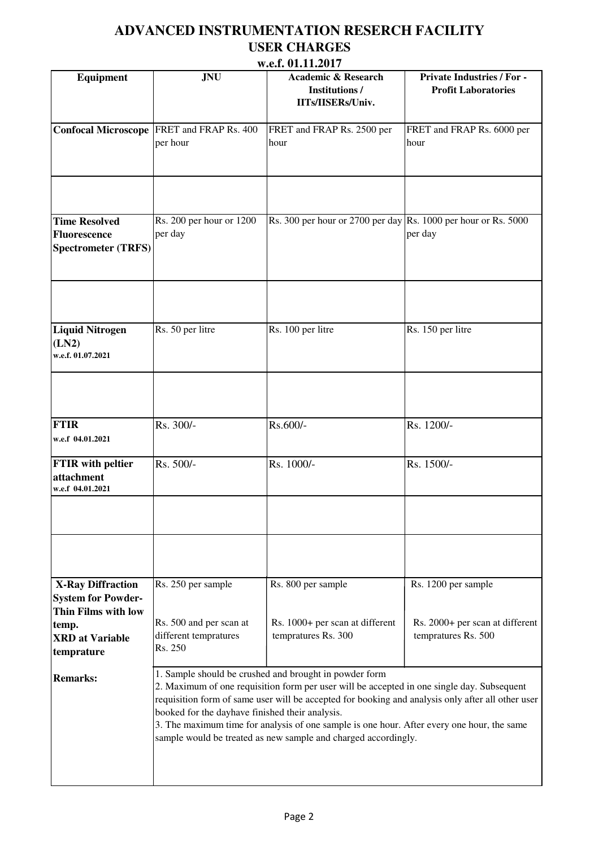|                                                                                                                               |                                                                                   | W.C.L. VI.LL.4VII                                                                                                                                                                                                                                                                                                                                                                                                         |                                                                               |
|-------------------------------------------------------------------------------------------------------------------------------|-----------------------------------------------------------------------------------|---------------------------------------------------------------------------------------------------------------------------------------------------------------------------------------------------------------------------------------------------------------------------------------------------------------------------------------------------------------------------------------------------------------------------|-------------------------------------------------------------------------------|
| <b>Equipment</b>                                                                                                              | <b>JNU</b>                                                                        | <b>Academic &amp; Research</b><br><b>Institutions/</b><br>IITs/IISERs/Univ.                                                                                                                                                                                                                                                                                                                                               | <b>Private Industries / For -</b><br><b>Profit Laboratories</b>               |
|                                                                                                                               | Confocal Microscope FRET and FRAP Rs. 400<br>per hour                             | FRET and FRAP Rs. 2500 per<br>hour                                                                                                                                                                                                                                                                                                                                                                                        | FRET and FRAP Rs. 6000 per<br>hour                                            |
|                                                                                                                               |                                                                                   |                                                                                                                                                                                                                                                                                                                                                                                                                           |                                                                               |
| <b>Time Resolved</b><br><b>Fluorescence</b><br><b>Spectrometer (TRFS)</b>                                                     | Rs. 200 per hour or 1200<br>per day                                               | Rs. 300 per hour or 2700 per day Rs. 1000 per hour or Rs. 5000                                                                                                                                                                                                                                                                                                                                                            | per day                                                                       |
|                                                                                                                               |                                                                                   |                                                                                                                                                                                                                                                                                                                                                                                                                           |                                                                               |
| <b>Liquid Nitrogen</b><br>(LN2)<br>w.e.f. 01.07.2021                                                                          | Rs. 50 per litre                                                                  | Rs. 100 per litre                                                                                                                                                                                                                                                                                                                                                                                                         | Rs. 150 per litre                                                             |
|                                                                                                                               |                                                                                   |                                                                                                                                                                                                                                                                                                                                                                                                                           |                                                                               |
| <b>FTIR</b><br>w.e.f 04.01.2021                                                                                               | Rs. 300/-                                                                         | Rs.600/-                                                                                                                                                                                                                                                                                                                                                                                                                  | Rs. 1200/-                                                                    |
| <b>FTIR</b> with peltier<br>attachment<br>w.e.f 04.01.2021                                                                    | Rs. 500/-                                                                         | Rs. 1000/-                                                                                                                                                                                                                                                                                                                                                                                                                | Rs. 1500/-                                                                    |
|                                                                                                                               |                                                                                   |                                                                                                                                                                                                                                                                                                                                                                                                                           |                                                                               |
|                                                                                                                               |                                                                                   |                                                                                                                                                                                                                                                                                                                                                                                                                           |                                                                               |
| <b>X-Ray Diffraction</b><br><b>System for Powder-</b><br>Thin Films with low<br>temp.<br><b>XRD</b> at Variable<br>temprature | Rs. 250 per sample<br>Rs. 500 and per scan at<br>different tempratures<br>Rs. 250 | Rs. 800 per sample<br>Rs. 1000+ per scan at different<br>tempratures Rs. 300                                                                                                                                                                                                                                                                                                                                              | Rs. 1200 per sample<br>Rs. 2000+ per scan at different<br>tempratures Rs. 500 |
| <b>Remarks:</b>                                                                                                               | booked for the dayhave finished their analysis.                                   | 1. Sample should be crushed and brought in powder form<br>2. Maximum of one requisition form per user will be accepted in one single day. Subsequent<br>requisition form of same user will be accepted for booking and analysis only after all other user<br>3. The maximum time for analysis of one sample is one hour. After every one hour, the same<br>sample would be treated as new sample and charged accordingly. |                                                                               |
|                                                                                                                               |                                                                                   |                                                                                                                                                                                                                                                                                                                                                                                                                           |                                                                               |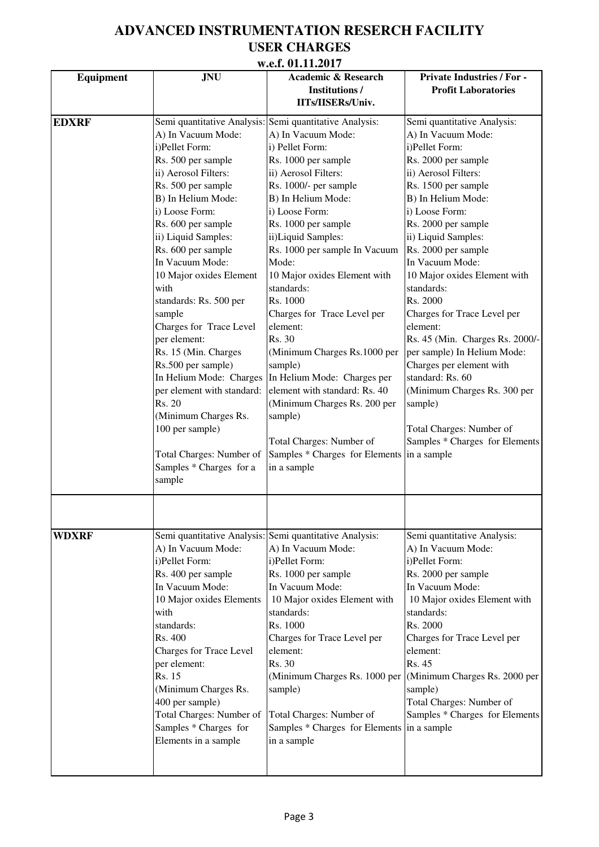|                  |                                | W.C.L. VI.LI.4VI /                                      |                                   |
|------------------|--------------------------------|---------------------------------------------------------|-----------------------------------|
| <b>Equipment</b> | <b>JNU</b>                     | <b>Academic &amp; Research</b>                          | <b>Private Industries / For -</b> |
|                  |                                | <b>Institutions/</b><br>IITs/IISERs/Univ.               | <b>Profit Laboratories</b>        |
|                  |                                |                                                         |                                   |
| <b>EDXRF</b>     |                                | Semi quantitative Analysis: Semi quantitative Analysis: | Semi quantitative Analysis:       |
|                  | A) In Vacuum Mode:             | A) In Vacuum Mode:                                      | A) In Vacuum Mode:                |
|                  | i)Pellet Form:                 | i) Pellet Form:                                         | i)Pellet Form:                    |
|                  | Rs. 500 per sample             | Rs. 1000 per sample                                     | Rs. 2000 per sample               |
|                  | ii) Aerosol Filters:           | ii) Aerosol Filters:                                    | ii) Aerosol Filters:              |
|                  | Rs. 500 per sample             | Rs. 1000/- per sample                                   | Rs. 1500 per sample               |
|                  | B) In Helium Mode:             | B) In Helium Mode:                                      | B) In Helium Mode:                |
|                  | i) Loose Form:                 | i) Loose Form:                                          | i) Loose Form:                    |
|                  | Rs. 600 per sample             | Rs. 1000 per sample                                     | Rs. 2000 per sample               |
|                  | ii) Liquid Samples:            | ii)Liquid Samples:                                      | ii) Liquid Samples:               |
|                  | Rs. 600 per sample             | Rs. 1000 per sample In Vacuum                           | Rs. 2000 per sample               |
|                  | In Vacuum Mode:                | Mode:                                                   | In Vacuum Mode:                   |
|                  | 10 Major oxides Element        | 10 Major oxides Element with                            | 10 Major oxides Element with      |
|                  | with                           | standards:                                              | standards:                        |
|                  | standards: Rs. 500 per         | Rs. 1000                                                | Rs. 2000                          |
|                  | sample                         | Charges for Trace Level per                             | Charges for Trace Level per       |
|                  | Charges for Trace Level        | element:                                                | element:                          |
|                  | per element:                   | Rs. 30                                                  | Rs. 45 (Min. Charges Rs. 2000/-   |
|                  | Rs. 15 (Min. Charges           | (Minimum Charges Rs.1000 per                            | per sample) In Helium Mode:       |
|                  | Rs.500 per sample)             | sample)                                                 | Charges per element with          |
|                  | In Helium Mode: Charges        | In Helium Mode: Charges per                             | standard: Rs. 60                  |
|                  | per element with standard:     | element with standard: Rs. 40                           | (Minimum Charges Rs. 300 per      |
|                  | Rs. 20                         | (Minimum Charges Rs. 200 per                            | sample)                           |
|                  | (Minimum Charges Rs.           | sample)                                                 |                                   |
|                  |                                |                                                         |                                   |
|                  | 100 per sample)                |                                                         | Total Charges: Number of          |
|                  |                                | Total Charges: Number of                                | Samples * Charges for Elements    |
|                  | Total Charges: Number of       | Samples * Charges for Elements in a sample              |                                   |
|                  | Samples * Charges for a        | in a sample                                             |                                   |
|                  | sample                         |                                                         |                                   |
|                  |                                |                                                         |                                   |
|                  |                                |                                                         |                                   |
| <b>WDXRF</b>     |                                | Semi quantitative Analysis: Semi quantitative Analysis: | Semi quantitative Analysis:       |
|                  | A) In Vacuum Mode:             | A) In Vacuum Mode:                                      | A) In Vacuum Mode:                |
|                  | i)Pellet Form:                 | i)Pellet Form:                                          | i)Pellet Form:                    |
|                  | Rs. 400 per sample             | Rs. 1000 per sample                                     | Rs. 2000 per sample               |
|                  | In Vacuum Mode:                | In Vacuum Mode:                                         | In Vacuum Mode:                   |
|                  | 10 Major oxides Elements       | 10 Major oxides Element with                            | 10 Major oxides Element with      |
|                  | with                           | standards:                                              | standards:                        |
|                  | standards:                     | Rs. 1000                                                | Rs. 2000                          |
|                  | Rs. 400                        | Charges for Trace Level per                             | Charges for Trace Level per       |
|                  |                                | element:                                                | element:                          |
|                  | <b>Charges for Trace Level</b> |                                                         |                                   |
|                  | per element:                   | Rs. 30                                                  | Rs. 45                            |
|                  | Rs. 15                         | (Minimum Charges Rs. 1000 per                           | (Minimum Charges Rs. 2000 per     |
|                  | (Minimum Charges Rs.           | sample)                                                 | sample)                           |
|                  | 400 per sample)                |                                                         | Total Charges: Number of          |
|                  | Total Charges: Number of       | Total Charges: Number of                                | Samples * Charges for Elements    |
|                  | Samples * Charges for          | Samples * Charges for Elements in a sample              |                                   |
|                  | Elements in a sample           | in a sample                                             |                                   |
|                  |                                |                                                         |                                   |
|                  |                                |                                                         |                                   |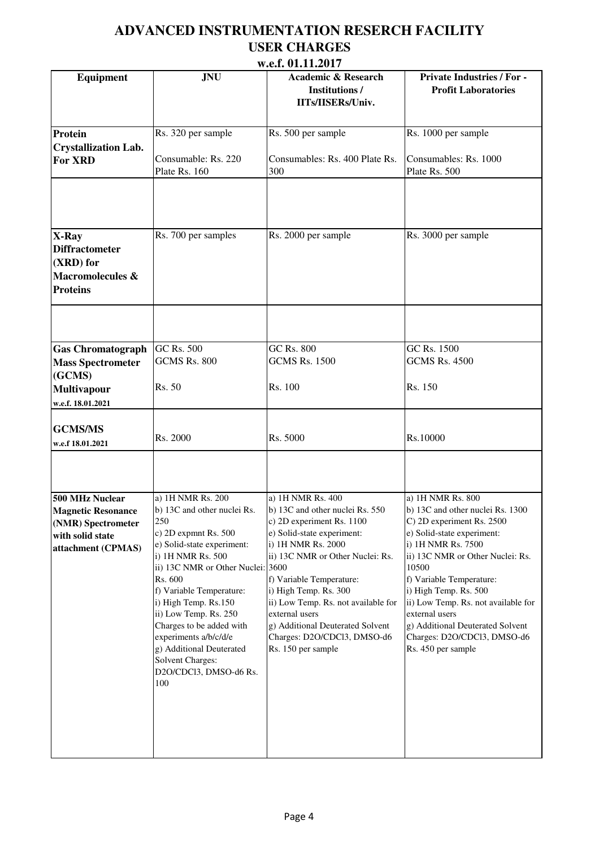| w.c.i. U1.11.4U17           |                                   |                                                                             |                                                                 |  |
|-----------------------------|-----------------------------------|-----------------------------------------------------------------------------|-----------------------------------------------------------------|--|
| Equipment                   | <b>JNU</b>                        | <b>Academic &amp; Research</b><br><b>Institutions/</b><br>IITs/IISERs/Univ. | <b>Private Industries / For -</b><br><b>Profit Laboratories</b> |  |
| Protein                     | Rs. 320 per sample                | Rs. 500 per sample                                                          | Rs. 1000 per sample                                             |  |
| <b>Crystallization Lab.</b> |                                   |                                                                             |                                                                 |  |
|                             | Consumable: Rs. 220               | Consumables: Rs. 400 Plate Rs.                                              | Consumables: Rs. 1000                                           |  |
| <b>For XRD</b>              |                                   |                                                                             |                                                                 |  |
|                             | Plate Rs. 160                     | 300                                                                         | Plate Rs. 500                                                   |  |
|                             |                                   |                                                                             |                                                                 |  |
| X-Ray                       | Rs. 700 per samples               | Rs. 2000 per sample                                                         | Rs. 3000 per sample                                             |  |
| <b>Diffractometer</b>       |                                   |                                                                             |                                                                 |  |
| (XRD) for                   |                                   |                                                                             |                                                                 |  |
|                             |                                   |                                                                             |                                                                 |  |
| Macromolecules &            |                                   |                                                                             |                                                                 |  |
| <b>Proteins</b>             |                                   |                                                                             |                                                                 |  |
|                             |                                   |                                                                             |                                                                 |  |
| <b>Gas Chromatograph</b>    | <b>GC Rs. 500</b>                 | <b>GC Rs. 800</b>                                                           | GC Rs. 1500                                                     |  |
| <b>Mass Spectrometer</b>    | <b>GCMS Rs. 800</b>               | <b>GCMS Rs. 1500</b>                                                        | <b>GCMS Rs. 4500</b>                                            |  |
| (GCMS)                      |                                   |                                                                             |                                                                 |  |
| <b>Multivapour</b>          | Rs. 50                            | Rs. 100                                                                     | Rs. 150                                                         |  |
| w.e.f. 18.01.2021           |                                   |                                                                             |                                                                 |  |
|                             |                                   |                                                                             |                                                                 |  |
|                             |                                   |                                                                             |                                                                 |  |
| <b>GCMS/MS</b>              | Rs. 2000                          | Rs. 5000                                                                    | Rs.10000                                                        |  |
| w.e.f 18.01.2021            |                                   |                                                                             |                                                                 |  |
|                             |                                   |                                                                             |                                                                 |  |
| 500 MHz Nuclear             | a) 1H NMR Rs. 200                 | a) 1H NMR Rs. 400                                                           | a) 1H NMR Rs. 800                                               |  |
| <b>Magnetic Resonance</b>   | b) 13C and other nuclei Rs.       | b) 13C and other nuclei Rs. 550                                             | b) 13C and other nuclei Rs. 1300                                |  |
| (NMR) Spectrometer          | 250                               | c) 2D experiment Rs. 1100                                                   | C) 2D experiment Rs. 2500                                       |  |
| with solid state            | c) 2D expmnt Rs. 500              | e) Solid-state experiment:                                                  | e) Solid-state experiment:                                      |  |
| attachment (CPMAS)          | e) Solid-state experiment:        | i) 1H NMR Rs. 2000                                                          | i) 1H NMR Rs. 7500                                              |  |
|                             | i) 1H NMR Rs. 500                 | ii) 13C NMR or Other Nuclei: Rs.                                            | ii) 13C NMR or Other Nuclei: Rs.                                |  |
|                             | ii) 13C NMR or Other Nuclei: 3600 |                                                                             | 10500                                                           |  |
|                             | Rs. 600                           | f) Variable Temperature:                                                    | f) Variable Temperature:                                        |  |
|                             | f) Variable Temperature:          | i) High Temp. Rs. 300                                                       | i) High Temp. Rs. 500                                           |  |
|                             | i) High Temp. Rs.150              | ii) Low Temp. Rs. not available for                                         | ii) Low Temp. Rs. not available for                             |  |
|                             | ii) Low Temp. Rs. 250             | external users                                                              | external users                                                  |  |
|                             | Charges to be added with          | g) Additional Deuterated Solvent                                            | g) Additional Deuterated Solvent                                |  |
|                             | experiments a/b/c/d/e             | Charges: D2O/CDCl3, DMSO-d6                                                 | Charges: D2O/CDCl3, DMSO-d6                                     |  |
|                             | g) Additional Deuterated          | Rs. 150 per sample                                                          | Rs. 450 per sample                                              |  |
|                             | Solvent Charges:                  |                                                                             |                                                                 |  |
|                             | D2O/CDCl3, DMSO-d6 Rs.            |                                                                             |                                                                 |  |
|                             | 100                               |                                                                             |                                                                 |  |
|                             |                                   |                                                                             |                                                                 |  |
|                             |                                   |                                                                             |                                                                 |  |
|                             |                                   |                                                                             |                                                                 |  |
|                             |                                   |                                                                             |                                                                 |  |
|                             |                                   |                                                                             |                                                                 |  |
|                             |                                   |                                                                             |                                                                 |  |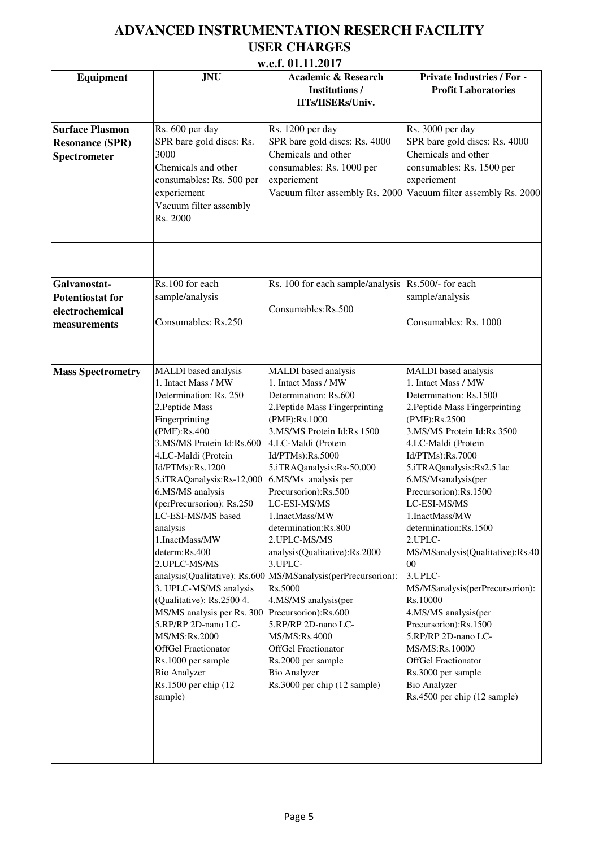| <b>Equipment</b>                                                           | <b>JNU</b>                                                                                                                                                                                                                                                                                                                                                                                                                                                                                                                                                                                                        | W.C.L. VI.LL.4VL/<br><b>Academic &amp; Research</b><br><b>Institutions/</b><br>IITs/IISERs/Univ.                                                                                                                                                                                                                                                                                                                                                                                                                                                                                                                                                                                    | <b>Private Industries / For -</b><br><b>Profit Laboratories</b>                                                                                                                                                                                                                                                                                                                                                                                                                                                                                                                                                                                        |
|----------------------------------------------------------------------------|-------------------------------------------------------------------------------------------------------------------------------------------------------------------------------------------------------------------------------------------------------------------------------------------------------------------------------------------------------------------------------------------------------------------------------------------------------------------------------------------------------------------------------------------------------------------------------------------------------------------|-------------------------------------------------------------------------------------------------------------------------------------------------------------------------------------------------------------------------------------------------------------------------------------------------------------------------------------------------------------------------------------------------------------------------------------------------------------------------------------------------------------------------------------------------------------------------------------------------------------------------------------------------------------------------------------|--------------------------------------------------------------------------------------------------------------------------------------------------------------------------------------------------------------------------------------------------------------------------------------------------------------------------------------------------------------------------------------------------------------------------------------------------------------------------------------------------------------------------------------------------------------------------------------------------------------------------------------------------------|
| <b>Surface Plasmon</b><br><b>Resonance (SPR)</b><br><b>Spectrometer</b>    | Rs. 600 per day<br>SPR bare gold discs: Rs.<br>3000<br>Chemicals and other<br>consumables: Rs. 500 per<br>experiement<br>Vacuum filter assembly<br>Rs. 2000                                                                                                                                                                                                                                                                                                                                                                                                                                                       | Rs. 1200 per day<br>SPR bare gold discs: Rs. 4000<br>Chemicals and other<br>consumables: Rs. 1000 per<br>experiement                                                                                                                                                                                                                                                                                                                                                                                                                                                                                                                                                                | Rs. 3000 per day<br>SPR bare gold discs: Rs. 4000<br>Chemicals and other<br>consumables: Rs. 1500 per<br>experiement<br>Vacuum filter assembly Rs. 2000 Vacuum filter assembly Rs. 2000                                                                                                                                                                                                                                                                                                                                                                                                                                                                |
| Galvanostat-<br><b>Potentiostat for</b><br>electrochemical<br>measurements | Rs.100 for each<br>sample/analysis<br>Consumables: Rs.250                                                                                                                                                                                                                                                                                                                                                                                                                                                                                                                                                         | Rs. 100 for each sample/analysis<br>Consumables:Rs.500                                                                                                                                                                                                                                                                                                                                                                                                                                                                                                                                                                                                                              | Rs.500/- for each<br>sample/analysis<br>Consumables: Rs. 1000                                                                                                                                                                                                                                                                                                                                                                                                                                                                                                                                                                                          |
| <b>Mass Spectrometry</b>                                                   | MALDI based analysis<br>1. Intact Mass / MW<br>Determination: Rs. 250<br>2. Peptide Mass<br>Fingerprinting<br>(PMF):Rs.400<br>3.MS/MS Protein Id:Rs.600<br>4.LC-Maldi (Protein<br>Id/PTMs):Rs.1200<br>5.iTRAQanalysis:Rs-12,000<br>6.MS/MS analysis<br>(perPrecursorion): Rs.250<br>LC-ESI-MS/MS based<br>analysis<br>1.InactMass/MW<br>determ:Rs.400<br>2. UPLC-MS/MS<br>3. UPLC-MS/MS analysis<br>(Qualitative): Rs.2500 4.<br>MS/MS analysis per Rs. 300<br>5.RP/RP 2D-nano LC-<br>MS/MS:Rs.2000<br><b>OffGel Fractionator</b><br>Rs.1000 per sample<br><b>Bio Analyzer</b><br>Rs.1500 per chip (12<br>sample) | MALDI based analysis<br>1. Intact Mass / MW<br>Determination: Rs.600<br>2. Peptide Mass Fingerprinting<br>(PMF):Rs.1000<br>3.MS/MS Protein Id:Rs 1500<br>4.LC-Maldi (Protein<br>Id/PTMs):Rs.5000<br>5.iTRAQanalysis:Rs-50,000<br>6.MS/Ms analysis per<br>Precursorion):Rs.500<br>LC-ESI-MS/MS<br>1.InactMass/MW<br>determination:Rs.800<br>2. UPLC-MS/MS<br>analysis(Qualitative):Rs.2000<br>3.UPLC-<br>analysis(Qualitative): Rs.600 MS/MSanalysis(perPrecursorion):<br>Rs.5000<br>4.MS/MS analysis(per<br>Precursorion):Rs.600<br>5.RP/RP 2D-nano LC-<br>MS/MS:Rs.4000<br><b>OffGel Fractionator</b><br>Rs.2000 per sample<br><b>Bio Analyzer</b><br>Rs.3000 per chip (12 sample) | MALDI based analysis<br>1. Intact Mass / MW<br>Determination: Rs.1500<br>2. Peptide Mass Fingerprinting<br>(PMF):Rs.2500<br>3.MS/MS Protein Id:Rs 3500<br>4.LC-Maldi (Protein<br>Id/PTMs):Rs.7000<br>5.iTRAQanalysis:Rs2.5 lac<br>6.MS/Msanalysis(per<br>Precursorion):Rs.1500<br>LC-ESI-MS/MS<br>1.InactMass/MW<br>determination:Rs.1500<br>2.UPLC-<br>MS/MSanalysis(Qualitative):Rs.40<br>00<br>3.UPLC-<br>MS/MSanalysis(perPrecursorion):<br>Rs.10000<br>4.MS/MS analysis(per<br>Precursorion):Rs.1500<br>5.RP/RP 2D-nano LC-<br>MS/MS:Rs.10000<br>OffGel Fractionator<br>Rs.3000 per sample<br><b>Bio Analyzer</b><br>Rs.4500 per chip (12 sample) |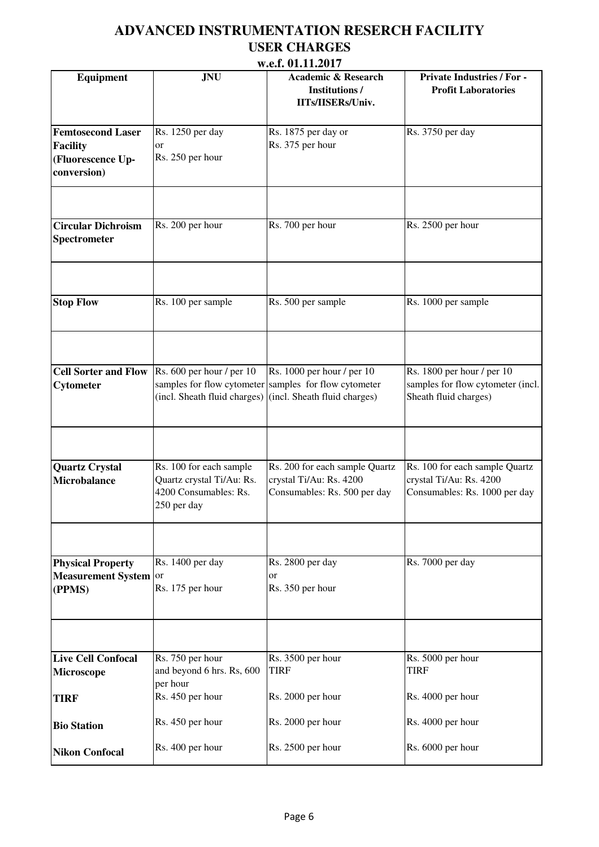|                                                                                 |                                                                                              | W.C.I. VI.LL.4VL/                                                                                                                                |                                                                                            |
|---------------------------------------------------------------------------------|----------------------------------------------------------------------------------------------|--------------------------------------------------------------------------------------------------------------------------------------------------|--------------------------------------------------------------------------------------------|
| <b>Equipment</b>                                                                | <b>JNU</b>                                                                                   | <b>Academic &amp; Research</b><br><b>Institutions/</b><br>IITs/IISERs/Univ.                                                                      | <b>Private Industries / For -</b><br><b>Profit Laboratories</b>                            |
| <b>Femtosecond Laser</b><br><b>Facility</b><br>(Fluorescence Up-<br>conversion) | Rs. 1250 per day<br>or<br>Rs. 250 per hour                                                   | Rs. 1875 per day or<br>Rs. 375 per hour                                                                                                          | Rs. 3750 per day                                                                           |
|                                                                                 |                                                                                              |                                                                                                                                                  |                                                                                            |
| <b>Circular Dichroism</b><br>Spectrometer                                       | Rs. 200 per hour                                                                             | Rs. 700 per hour                                                                                                                                 | Rs. 2500 per hour                                                                          |
|                                                                                 |                                                                                              |                                                                                                                                                  |                                                                                            |
| <b>Stop Flow</b>                                                                | Rs. 100 per sample                                                                           | Rs. 500 per sample                                                                                                                               | Rs. 1000 per sample                                                                        |
|                                                                                 |                                                                                              |                                                                                                                                                  |                                                                                            |
| <b>Cell Sorter and Flow</b><br>Cytometer                                        | Rs. 600 per hour / per 10                                                                    | Rs. 1000 per hour / per 10<br>samples for flow cytometer samples for flow cytometer<br>(incl. Sheath fluid charges) (incl. Sheath fluid charges) | Rs. 1800 per hour / per 10<br>samples for flow cytometer (incl.<br>Sheath fluid charges)   |
|                                                                                 |                                                                                              |                                                                                                                                                  |                                                                                            |
| <b>Quartz Crystal</b><br><b>Microbalance</b>                                    | Rs. 100 for each sample<br>Quartz crystal Ti/Au: Rs.<br>4200 Consumables: Rs.<br>250 per day | Rs. 200 for each sample Quartz<br>crystal Ti/Au: Rs. 4200<br>Consumables: Rs. 500 per day                                                        | Rs. 100 for each sample Quartz<br>crystal Ti/Au: Rs. 4200<br>Consumables: Rs. 1000 per day |
|                                                                                 |                                                                                              |                                                                                                                                                  |                                                                                            |
| <b>Physical Property</b><br>Measurement System or<br>(PPMS)                     | Rs. 1400 per day<br>Rs. 175 per hour                                                         | Rs. 2800 per day<br>or<br>Rs. 350 per hour                                                                                                       | Rs. 7000 per day                                                                           |
|                                                                                 |                                                                                              |                                                                                                                                                  |                                                                                            |
| <b>Live Cell Confocal</b><br>Microscope                                         | Rs. 750 per hour<br>and beyond 6 hrs. Rs, 600<br>per hour                                    | Rs. 3500 per hour<br><b>TIRF</b>                                                                                                                 | Rs. 5000 per hour<br><b>TIRF</b>                                                           |
| <b>TIRF</b>                                                                     | Rs. 450 per hour                                                                             | Rs. 2000 per hour                                                                                                                                | Rs. 4000 per hour                                                                          |
| <b>Bio Station</b>                                                              | Rs. 450 per hour                                                                             | Rs. 2000 per hour                                                                                                                                | Rs. 4000 per hour                                                                          |
| <b>Nikon Confocal</b>                                                           | Rs. 400 per hour                                                                             | Rs. 2500 per hour                                                                                                                                | Rs. 6000 per hour                                                                          |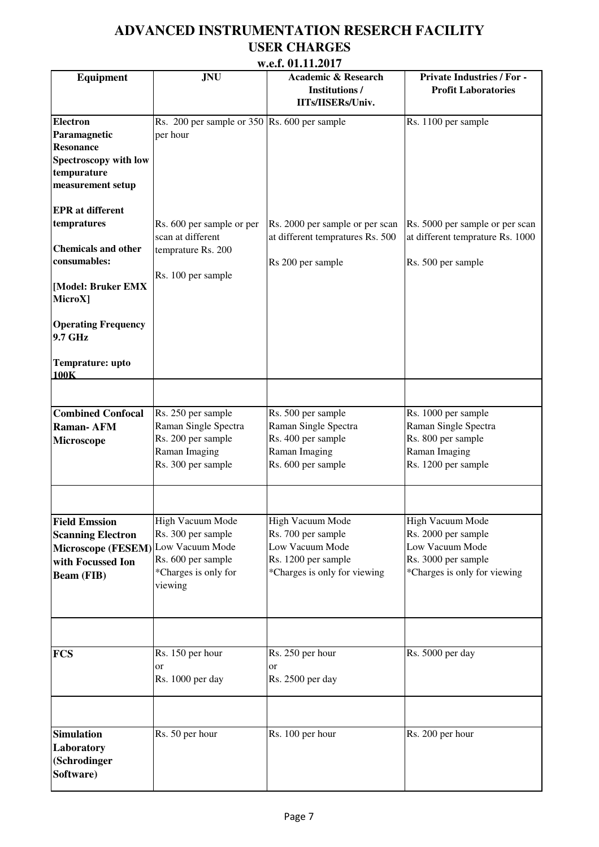| w.c.i. v1.11.∠v1 /                                                                                               |                                                                                                                    |                                                                                                                  |                                                                                                                   |  |
|------------------------------------------------------------------------------------------------------------------|--------------------------------------------------------------------------------------------------------------------|------------------------------------------------------------------------------------------------------------------|-------------------------------------------------------------------------------------------------------------------|--|
| <b>Equipment</b>                                                                                                 | <b>JNU</b>                                                                                                         | <b>Academic &amp; Research</b><br><b>Institutions/</b><br>IITs/IISERs/Univ.                                      | <b>Private Industries / For -</b><br><b>Profit Laboratories</b>                                                   |  |
| <b>Electron</b><br>Paramagnetic<br><b>Resonance</b><br>Spectroscopy with low<br>tempurature<br>measurement setup | Rs. 200 per sample or 350 Rs. 600 per sample<br>per hour                                                           |                                                                                                                  | Rs. 1100 per sample                                                                                               |  |
| <b>EPR</b> at different<br>tempratures<br><b>Chemicals and other</b><br>consumables:                             | Rs. 600 per sample or per<br>scan at different<br>temprature Rs. 200<br>Rs. 100 per sample                         | Rs. 2000 per sample or per scan<br>at different tempratures Rs. 500<br>Rs 200 per sample                         | Rs. 5000 per sample or per scan<br>at different temprature Rs. 1000<br>Rs. 500 per sample                         |  |
| [Model: Bruker EMX<br>MicroX]                                                                                    |                                                                                                                    |                                                                                                                  |                                                                                                                   |  |
| <b>Operating Frequency</b><br>9.7 GHz<br>Temprature: upto                                                        |                                                                                                                    |                                                                                                                  |                                                                                                                   |  |
| 100K                                                                                                             |                                                                                                                    |                                                                                                                  |                                                                                                                   |  |
| <b>Combined Confocal</b><br><b>Raman-AFM</b><br>Microscope                                                       | Rs. 250 per sample<br>Raman Single Spectra<br>Rs. 200 per sample<br>Raman Imaging<br>Rs. 300 per sample            | Rs. 500 per sample<br>Raman Single Spectra<br>Rs. 400 per sample<br>Raman Imaging<br>Rs. 600 per sample          | Rs. 1000 per sample<br>Raman Single Spectra<br>Rs. 800 per sample<br>Raman Imaging<br>Rs. 1200 per sample         |  |
|                                                                                                                  |                                                                                                                    |                                                                                                                  |                                                                                                                   |  |
| <b>Field Emssion</b><br><b>Scanning Electron</b><br>Microscope (FESEM)<br>with Focussed Ion<br><b>Beam (FIB)</b> | High Vacuum Mode<br>Rs. 300 per sample<br>Low Vacuum Mode<br>Rs. 600 per sample<br>*Charges is only for<br>viewing | High Vacuum Mode<br>Rs. 700 per sample<br>Low Vacuum Mode<br>Rs. 1200 per sample<br>*Charges is only for viewing | High Vacuum Mode<br>Rs. 2000 per sample<br>Low Vacuum Mode<br>Rs. 3000 per sample<br>*Charges is only for viewing |  |
|                                                                                                                  |                                                                                                                    |                                                                                                                  |                                                                                                                   |  |
| <b>FCS</b>                                                                                                       | Rs. 150 per hour<br>or<br>Rs. 1000 per day                                                                         | Rs. 250 per hour<br>or<br>Rs. 2500 per day                                                                       | Rs. 5000 per day                                                                                                  |  |
| <b>Simulation</b><br>Laboratory<br>(Schrodinger<br>Software)                                                     | Rs. 50 per hour                                                                                                    | Rs. 100 per hour                                                                                                 | Rs. 200 per hour                                                                                                  |  |